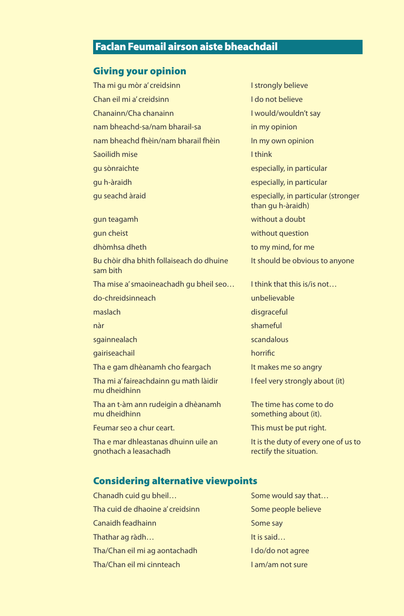## Faclan Feumail airson aiste bheachdail

#### Giving your opinion

Tha mi gu mòr a' creidsinn<br>I strongly believe Chan eil mi a' creidsinn **I do not believe** Chanainn/Cha chanainn I would/wouldn't say nam bheachd-sa/nam bharail-sa in my opinion nam bheachd fhèin/nam bharail fhèin In my own opinion Saoilidh mise **I have a struggled a** think gu sònraichte especially, in particular gu h-àraidh especially, in particular gu seachd àraid especially, in particular (stronger gun teagamh without a doubt gun cheist without question dhòmhsa dheth to my mind, for me Bu chòir dha bhith follaiseach do dhuine It should be obvious to anyone sam bith

Tha mise a' smaoineachadh gu bheil seo... I think that this is/is not...

- do-chreidsinneach unbelievable
- 

- sgainnealach scandalous
- gairiseachail and a study and a study of the horrific
- Tha e gam dhèanamh cho feargach It makes me so angry

Tha mi a' faireachdainn gu math làidir **I feel very strongly about (it)** mu dheidhinn

Tha an t-àm ann rudeigin a dhèanamh The time has come to do mu dheidhinn something about (it).

Feumar seo a chur ceart. This must be put right.

Tha e mar dhleastanas dhuinn uile an It is the duty of every one of us to gnothach a leasachadh **rectify the situation**.

than gu h-àraidh)

maslach disgraceful and the control of the control of the control of the control of the control of the control of the control of the control of the control of the control of the control of the control of the control of the nàr shameful ann an t-seachaidh ann an t-seachaidh an t-seachaidh an t-seachaidh an t-seachaidh an t-seachaidh

- 
- 
- 

### Considering alternative viewpoints

| Chanadh cuid gu bheil            |
|----------------------------------|
| Tha cuid de dhaoine a' creidsinn |
| Canaidh feadhainn                |
| Thathar ag ràdh                  |
| Tha/Chan eil mi ag aontachadh    |
| Tha/Chan eil mi cinnteach        |

Some would say that… Some people believe Some say It is said… I do/do not agree I am/am not sure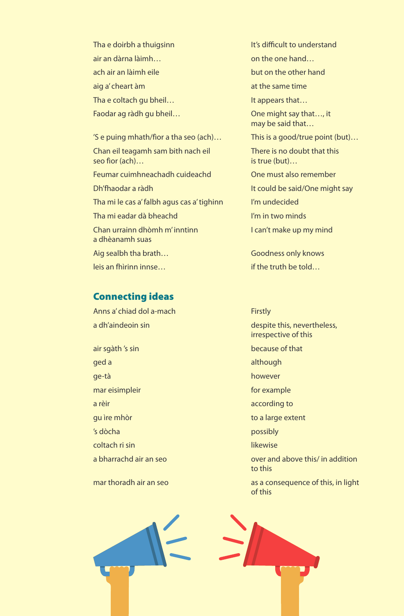air an dàrna làimh…<br>
on the one hand… ach air an làimh eile but on the other hand aig a' cheart àm at the same time Tha e coltach gu bheil… It appears that… Faodar ag ràdh gu bheil...<br>
One might say that..., it

Chan eil teagamh sam bith nach eil<br>There is no doubt that this seo fìor (ach)… Feumar cuimhneachadh cuideachd One must also remember

Tha mi le cas a' falbh agus cas a' tighinn I'm undecided Tha mi eadar dà bheachd I'm in two minds Chan urrainn dhòmh m' inntinn I can't make up my mind a dhèanamh suas

leis an fhìrinn innse… if the truth be told…

### Connecting ideas

Anns a' chiad dol a-mach **Firstly** a dh'aindeoin sin despite this, nevertheless, air sgàth 's sin because of that ged a state of the state of the state of the state of the state of the state of the state of the state of the state of the state of the state of the state of the state of the state of the state of the state of the state of ge-tà however mar eisimpleir for example a rèir ann ann an t-ann an t-ann an t-ann according to gu ìre mhòr to a large extent 's dòcha possibly coltach ri sin likewise to this continuous continuous continuous continuous continuous continuous continuous continuous continuous con

Tha e doirbh a thuigsinn It's difficult to understand may be said that… 'S e puing mhath/fìor a tha seo (ach)… This is a good/true point (but)… Dh'fhaodar a ràdh It could be said/One might say

Aig sealbh tha brath… Goodness only knows

 irrespective of this a bharrachd air an seo over and above this/ in addition mar thoradh air an seo as a consequence of this, in light



of this control to the control of this control to the control of this